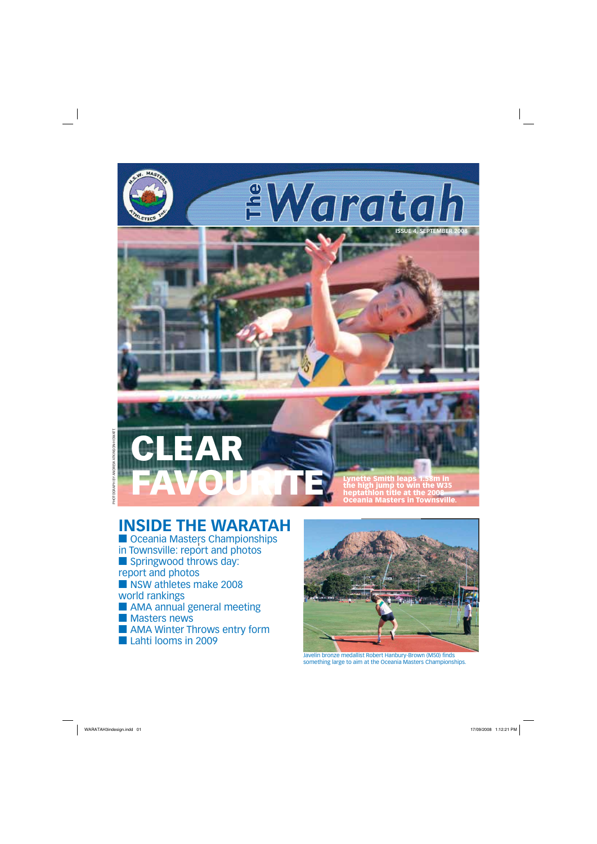## **INSIDE THE WARATAH**

■ Oceania Masters Championships in Townsville: report and photos ■ Springwood throws day: report and photos ■ NSW athletes make 2008 world rankings ■ AMA annual general meeting ■ Masters news ■ AMA Winter Throws entry form



Javelin bronze medallist Robert Hanbury-Brown (M50) finds something large to aim at the Oceania Masters Championships.

WARATAH3indesign.indd 01 17/09/2008 1:12:21 PM 17/09/2008 1:12:21 PM 17/09/2008 1:12:21 PM 17/09/2008 1:12:21 PM



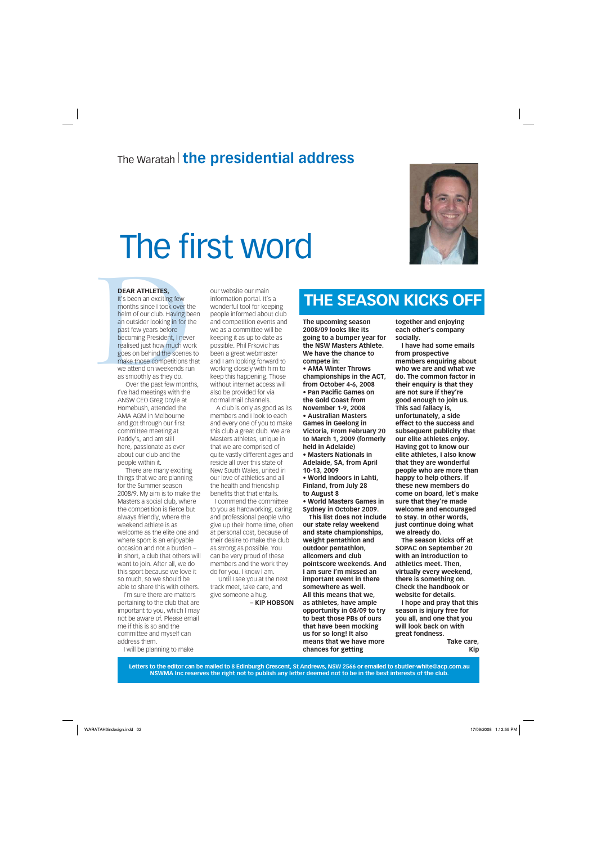#### **DEAR ATHLETES,**

**DEAR ATHLETES,**<br>It's been an exciting few<br>months since I took over th<br>helm of our club. Having be<br>an outsider looking in for th<br>past few years before<br>becoming President, I neve<br>realised just how much wol<br>goes on behind th It's been an exciting few months since I took over the helm of our club. Having been an outsider looking in for the past few years before becoming President, I never realised just how much work goes on behind the scenes to make those competitions that we attend on weekends run as smoothly as they do.

Over the past few months, I've had meetings with the ANSW CEO Greg Doyle at Homebush, attended the AMA AGM in Melbourne and got through our first committee meeting at Paddy's, and am still here, passionate as ever about our club and the people within it.

There are many exciting things that we are planning for the Summer season 2008/9. My aim is to make the Masters a social club, where the competition is fierce but always friendly, where the weekend athlete is as welcome as the elite one and where sport is an enjoyable occasion and not a burden − in short, a club that others will want to join. After all, we do this sport because we love it so much, so we should be able to share this with others.

I'm sure there are matters pertaining to the club that are important to you, which I may not be aware of. Please email me if this is so and the committee and myself can

address them. I will be planning to make our website our main information portal. It's a wonderful tool for keeping people informed about club and competition events and we as a committee will be keeping it as up to date as possible. Phil Frkovic has been a great webmaster and I am looking forward to working closely with him to keep this happening. Those without internet access will also be provided for via normal mail channels.

A club is only as good as its members and I look to each and every one of you to make this club a great club. We are Masters athletes, unique in that we are comprised of quite vastly different ages and reside all over this state of New South Wales, united in our love of athletics and all the health and friendship benefits that that entails.

 I commend the committee to you as hardworking, caring and professional people who give up their home time, often at personal cost, because of their desire to make the club as strong as possible. You can be very proud of these members and the work they do for you. I know I am.

Until I see you at the next track meet, take care, and give someone a hug.

**– KIP HOBSON**

**The upcoming season 2008/09 looks like its going to a bumper year for the NSW Masters Athlete. We have the chance to compete in: • AMA Winter Throws championships in the ACT,** 

**from October 4-6, 2008 • Pan Pacific Games on the Gold Coast from November 1-9, 2008 • Australian Masters Games in Geelong in Victoria, From February 20 to March 1, 2009 (formerly held in Adelaide) • Masters Nationals in Adelaide, SA, from April 10-13, 2009 • World Indoors in Lahti, Finland, from July 28 to August 8 • World Masters Games in Sydney in October 2009.**

**This list does not include our state relay weekend and state championships, weight pentathlon and outdoor pentathlon, allcomers and club pointscore weekends. And I am sure I'm missed an important event in there somewhere as well. All this means that we, as athletes, have ample opportunity in 08/09 to try to beat those PBs of ours that have been mocking us for so long! It also** 

#### **means that we have more chances for getting**

**together and enjoying each other's company socially.**

**I have had some emails from prospective members enquiring about who we are and what we do. The common factor in their enquiry is that they are not sure if they're good enough to join us. This sad fallacy is, unfortunately, a side effect to the success and subsequent publicity that our elite athletes enjoy. Having got to know our elite athletes, I also know that they are wonderful people who are more than happy to help others. If these new members do come on board, let's make sure that they're made welcome and encouraged to stay. In other words, just continue doing what we already do. The season kicks off at SOPAC on September 20** 

**with an introduction to athletics meet. Then, virtually every weekend, there is something on. Check the handbook or website for details.**

**I hope and pray that this season is injury free for you all, and one that you will look back on with great fondness.**

> **Take care, Kip**

**Letters to the editor can be mailed to 8 Edinburgh Crescent, St Andrews, NSW 2566 or emailed to sbutler-white@acp.com.au NSWMA Inc reserves the right not to publish any letter deemed not to be in the best interests of the club.**

 $\textsf{WARATA} + \textsf{N3} \textsf{N4} \textsf{N4} \textsf{N5} \textsf{N4} \textsf{N6} \textsf{N6} \textsf{N7} \textsf{N8} \textsf{N8} \textsf{N8} \textsf{N9} \textsf{N9} \textsf{N1} \textsf{N1} \textsf{N1} \textsf{N1} \textsf{N1} \textsf{N1} \textsf{N1} \textsf{N1} \textsf{N1} \textsf{N1} \textsf{N1} \textsf{N1} \textsf{N1} \textsf{N1} \textsf{N1} \textsf{N1} \textsf{N1} \$ 

## The Waratah<sup>|</sup> **the presidential address**

# The first word



# **THE SEASON KICKS OFF**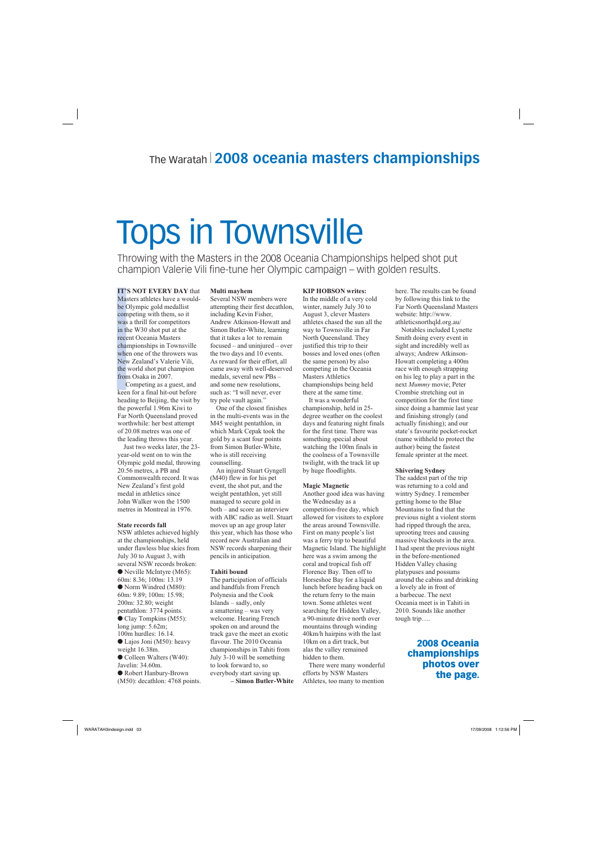IT'S NO<br>Masters :<br>be Olym<sub>1</sub><br>competir<br>was a thr<br>in the W.<br>recent Oo<br>champio<br>when on New Zea<br>the world<br>from Osa<br>Comp<br>keen for<br>heading the powe **IT'S NOT EVERY DAY** that Masters athletes have a wouldbe Olympic gold medallist competing with them, so it was a thrill for competitors in the W30 shot put at the recent Oceania Masters championships in Townsville when one of the throwers was New Zealand's Valerie Vili, the world shot put champion from Osaka in 2007.

Competing as a guest, and keen for a final hit-out before heading to Beijing, the visit by the powerful 1.96m Kiwi to Far North Queensland proved worthwhile: her best attempt of 20.08 metres was one of the leading throws this year.

Just two weeks later, the 23 year-old went on to win the Olympic gold medal, throwing 20.56 metres, a PB and Commonwealth record. It was New Zealand's first gold medal in athletics since John Walker won the 1500 metres in Montreal in 1976.

#### **State records fall**

NSW athletes achieved highly at the championships, held under flawless blue skies from July 30 to August 3, with several NSW records broken: ● Neville McIntyre (M65): 60m: 8.36; 100m: 13.19 ● Norm Windred (M80): 60m: 9.89; 100m: 15.98; 200m: 32.80; weight pentathlon: 3774 points. ● Clay Tompkins (M55): long jump: 5.62m; 100m hurdles: 16.14. ● Lajos Joni (M50): heavy weight 16.38m. ● Colleen Walters (W40): Javelin: 34.60m. ● Robert Hanbury-Brown (M50): decathlon: 4768 points.

#### **Multi mayhem**

Several NSW members were attempting their first decathlon, including Kevin Fisher, Andrew Atkinson-Howatt and Simon Butler-White, learning that it takes a lot to remain focused – and uninjured – over the two days and 10 events. As reward for their effort, all came away with well-deserved medals, several new PBs – and some new resolutions, such as: "I will never, ever try pole vault again."

One of the closest finishes in the multi-events was in the M45 weight pentathlon, in which Mark Cepak took the gold by a scant four points from Simon Butler-White, who is still receiving counselling.

An injured Stuart Gyngell (M40) flew in for his pet event, the shot put, and the weight pentathlon, yet still managed to secure gold in both – and score an interview with ABC radio as well. Stuart moves up an age group later this year, which has those who record new Australian and NSW records sharpening their pencils in anticipation.

#### **Tahiti bound**

The participation of officials and handfuls from French Polynesia and the Cook Islands – sadly, only a smattering – was very welcome. Hearing French spoken on and around the track gave the meet an exotic flavour. The 2010 Oceania championships in Tahiti from July 3-10 will be something to look forward to, so everybody start saving up. **– Simon Butler-White** **KIP HOBSON writes:** In the middle of a very cold winter, namely July 30 to August 3, clever Masters athletes chased the sun all the way to Townsville in Far North Queensland. They justified this trip to their bosses and loved ones (often the same person) by also competing in the Oceania Masters Athletics championships being held there at the same time.

It was a wonderful championship, held in 25 degree weather on the coolest days and featuring night finals for the first time. There was something special about watching the 100m finals in the coolness of a Townsville twilight, with the track lit up by huge floodlights.

#### **Magic Magnetic**

Another good idea was having the Wednesday as a competition-free day, which allowed for visitors to explore the areas around Townsville. First on many people's list was a ferry trip to beautiful Magnetic Island. The highlight here was a swim among the coral and tropical fish off Florence Bay. Then off to Horseshoe Bay for a liquid lunch before heading back on the return ferry to the main town. Some athletes went searching for Hidden Valley, a 90-minute drive north over mountains through winding 40km/h hairpins with the last

10km on a dirt track, but alas the valley remained hidden to them.

There were many wonderful efforts by NSW Masters Athletes, too many to mention

here. The results can be found by following this link to the Far North Queensland Masters website: http://www. athleticsnorthqld.org.au/

Notables included Lynette Smith doing every event in sight and incredibly well as always; Andrew Atkinson-Howatt completing a 400m race with enough strapping on his leg to play a part in the next *Mummy* movie; Peter Crombie stretching out in competition for the first time since doing a hammie last year and finishing strongly (and actually finishing); and our state's favourite pocket-rocket (name withheld to protect the author) being the fastest female sprinter at the meet.

#### **Shivering Sydney**

The saddest part of the trip was returning to a cold and wintry Sydney. I remember getting home to the Blue Mountains to find that the previous night a violent storm had ripped through the area, uprooting trees and causing massive blackouts in the area. I had spent the previous night in the before-mentioned Hidden Valley chasing platypuses and possums around the cabins and drinking a lovely ale in front of a barbecue. The next Oceania meet is in Tahiti in 2010. Sounds like another tough trip….

# Tops in Townsville

Throwing with the Masters in the 2008 Oceania Championships helped shot put champion Valerie Vili fine-tune her Olympic campaign – with golden results.

## The Waratah<sup>|</sup> **2008 oceania masters championships**

### **2008 Oceania championships photos over the page.**

WARATAH3indesign.indd 03 ARATAH3indesign.indd 17/09/2008 1:12:56 PM 7/09/2008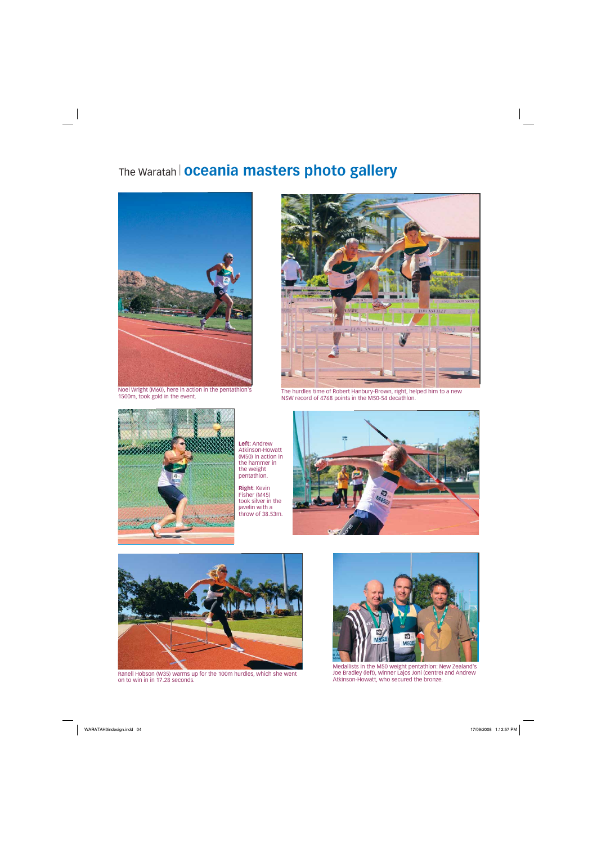# The Waratah<sup>|</sup> **oceania masters photo gallery**



Noel Wright (M60), here in action in the pentathlon's



1500m, took gold in the event. The hurdles time of Robert Hanbury-Brown, right, helped him to a new NSW record of 4768 points in the M50-54 decathlon.



**Left:** Andrew Atkinson-Howatt (M50) in action in the hammer in the weight pentathlon.

Ranell Hobson (W35) warms up for the 100m hurdles, which she went Joe Bradley (left), winner Lajos Joni (centre)<br>on to win in in 17.28 seconds. Atkinson-Howatt, who secured the bronze. on to win in in 17.28 seconds.

**Right**: Kevin Fisher (M45) took silver in the javelin with a throw of 38.53m.











Medallists in the M50 weight pentathlon: New Zealand's Joe Bradley (left), winner Lajos Joni (centre) and Andrew

WARATAH3indesign.indd 04 ARATAH3indesign.indd 17/09/2008 1:12:57 PM 7/09/2008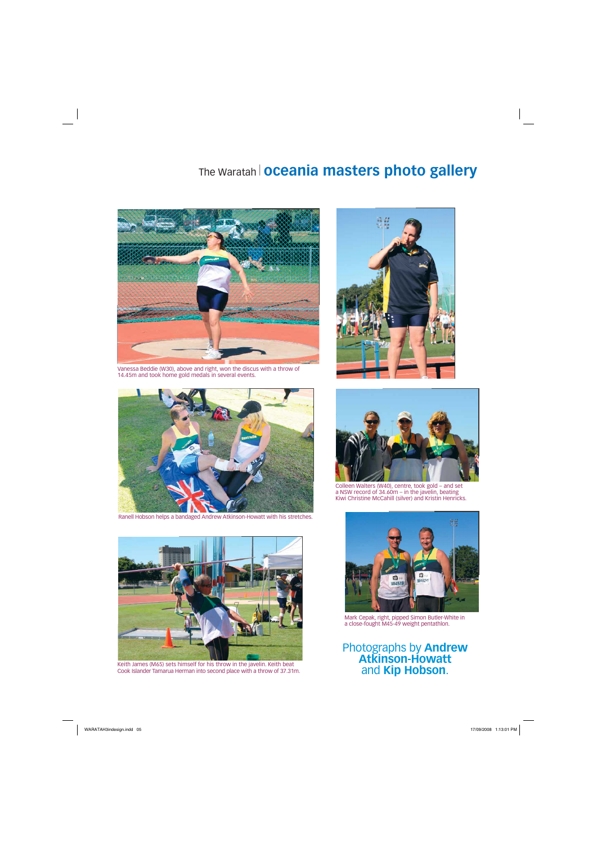

Ranell Hobson helps a bandaged Andrew Atkinson-Howatt with his stretches.







Mark Cepak, right, pipped Simon Butler-White in a close-fought M45-49 weight pentathlon.





Vanessa Beddie (W30), above and right, won the discus with a throw of 14.45m and took home gold medals in several events.

# The Waratah<sup>|</sup> **oceania masters photo gallery**



Colleen Walters (W40), centre, took gold – and set a NSW record of 34.60m – in the javelin, beating Kiwi Christine McCahill (silver) and Kristin Henricks.

Keith James (M65) sets himself for his throw in the javelin. Keith beat Cook Islander Tamarua Herman into second place with a throw of 37.31m.

### Photographs by **Andrew Atkinson-Howatt**  and **Kip Hobson**.

WARATAH3indesign.indd 05 ARATAH3indesign.indd 17/09/2008 1:13:01 PM 7/09/2008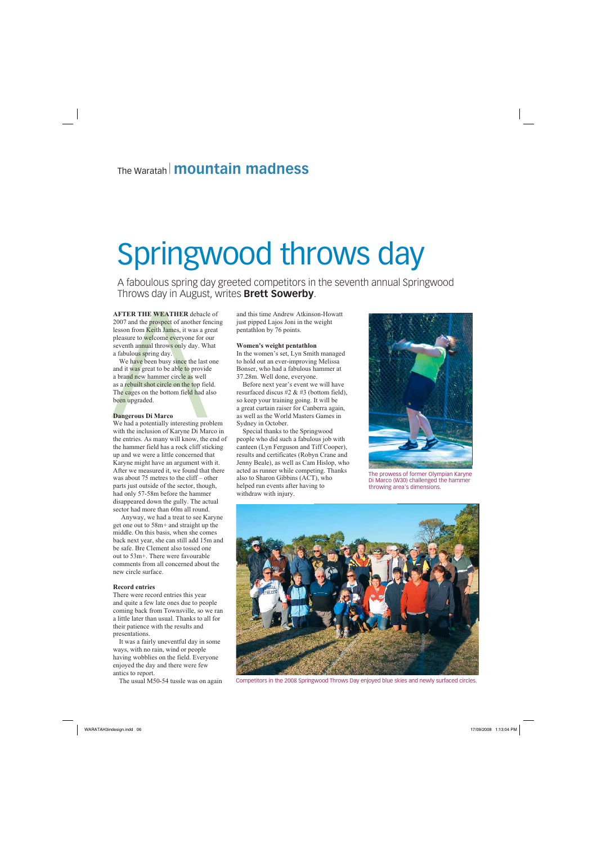**AFTER THE WEATHER** debacle of 2007 and the prospect of another fencing lesson from Keith James, it was a great pleasure to welcome everyone for our seventh annual throws only day. What a fabulous spring day.

**AFTER THE WEATHER** debacl<br>
2007 and the prospect of another fe<br>
lesson from Keith James, it was a g<br>
pleasure to welcome everyone for c<br>
seventh annual throws only day. We<br>
a fabulous spring day.<br>
We have been busy since We have been busy since the last one and it was great to be able to provide a brand new hammer circle as well as a rebuilt shot circle on the top field. The cages on the bottom field had also been upgraded.

#### **Dangerous Di Marco**

We had a potentially interesting problem with the inclusion of Karyne Di Marco in the entries. As many will know, the end of the hammer field has a rock cliff sticking up and we were a little concerned that Karyne might have an argument with it. After we measured it, we found that there was about 75 metres to the cliff – other parts just outside of the sector, though, had only 57-58m before the hammer disappeared down the gully. The actual sector had more than 60m all round.

Anyway, we had a treat to see Karyne get one out to 58m+ and straight up the middle. On this basis, when she comes back next year, she can still add 15m and be safe. Bre Clement also tossed one out to 53m+. There were favourable comments from all concerned about the new circle surface.

#### **Record entries**

There were record entries this year and quite a few late ones due to people coming back from Townsville, so we ran a little later than usual. Thanks to all for their patience with the results and presentations.

It was a fairly uneventful day in some ways, with no rain, wind or people having wobblies on the field. Everyone enjoyed the day and there were few antics to report.

The usual M50-54 tussle was on again



and this time Andrew Atkinson-Howatt just pipped Lajos Joni in the weight pentathlon by 76 points.

#### **Women's weight pentathlon**

In the women's set, Lyn Smith managed to hold out an ever-improving Melissa Bonser, who had a fabulous hammer at 37.28m. Well done, everyone.

Before next year's event we will have resurfaced discus #2 & #3 (bottom field), so keep your training going. It will be a great curtain raiser for Canberra again, as well as the World Masters Games in Sydney in October.

Special thanks to the Springwood people who did such a fabulous job with canteen (Lyn Ferguson and Tiff Cooper), results and certificates (Robyn Crane and Jenny Beale), as well as Cam Hislop, who acted as runner while competing. Thanks also to Sharon Gibbins (ACT), who helped run events after having to withdraw with injury.

## The Waratah <sup>|</sup>**mountain madness**

# Springwood throws day

A faboulous spring day greeted competitors in the seventh annual Springwood Throws day in August, writes **Brett Sowerby**.



The prowess of former Olympian Karyne Di Marco (W30) challenged the hammer throwing area's dimensions.



Competitors in the 2008 Springwood Throws Day enjoyed blue skies and newly surfaced circles.

WARATAH3indesign.indd 06 ARATAH3indesign.indd 17/09/2008 1:13:04 PM 7/09/2008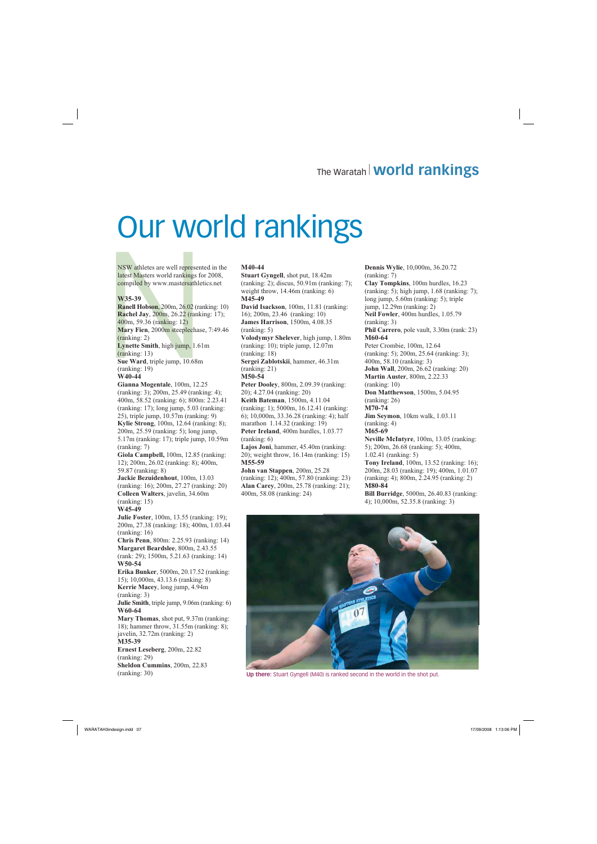NSW athletes are well represented in the latest Masters world rankings for 2008, compiled by www.mastersathletics.net

#### **W35-39**

NSW athletes are well represent<br>latest Masters world rankings fo<br>compiled by www.mastersathlet<br>W35-39<br>Ranell Hobson, 200m, 26.02 (ran<br>Rachel Jay, 200m, 26.22 (ranki<br>400m, 59.36 (ranking: 12)<br>Mary Fien, 2000m steeplechase<br>( **Ranell Hobson**, 200m, 26.02 (ranking: 10) **Rachel Jay**, 200m, 26.22 (ranking: 17); 400m, 59.36 (ranking: 12) **Mary Fien**, 2000m steeplechase, 7:49.46 (ranking: 2) **Lynette Smith**, high jump, 1.61m (ranking: 13) **Sue Ward**, triple jump, 10.68m (ranking: 19) **W40-44**

**Gianna Mogentale**, 100m, 12.25 (ranking: 3); 200m, 25.49 (ranking: 4); 400m, 58.52 (ranking: 6); 800m: 2.23.41 (ranking: 17); long jump, 5.03 (ranking: 25), triple jump, 10.57m (ranking: 9) **Kylie Strong**, 100m, 12.64 (ranking: 8); 200m, 25.59 (ranking: 5); long jump, 5.17m (ranking: 17); triple jump, 10.59m (ranking: 7) **Giola Campbell,** 100m, 12.85 (ranking: 12); 200m, 26.02 (ranking: 8); 400m, 59.87 (ranking: 8) **Jackie Bezuidenhout**, 100m, 13.03 (ranking: 16); 200m, 27.27 (ranking: 20) **Colleen Walters**, javelin, 34.60m (ranking: 15) **W45-49 Julie Foster**, 100m, 13.55 (ranking: 19); 200m, 27.38 (ranking: 18); 400m, 1.03.44 (ranking: 16) **Chris Penn**, 800m: 2.25.93 (ranking: 14) **Margaret Beardslee**, 800m, 2.43.55 (rank: 29); 1500m, 5.21.63 (ranking: 14) **W50-54 Erika Bunker**, 5000m, 20.17.52 (ranking: 15); 10,000m, 43.13.6 (ranking: 8) **Kerrie Macey**, long jump, 4.94m (ranking: 3)

**Julie Smith**, triple jump, 9.06m (ranking: 6) **W60-64**

**Mary Thomas**, shot put, 9.37m (ranking: 18); hammer throw, 31.55m (ranking: 8); javelin, 32.72m (ranking: 2)

**M35-39 Ernest Leseberg**, 200m, 22.82 (ranking: 29) **Sheldon Cummins**, 200m, 22.83 (ranking: 30)

#### **M40-44**

**Stuart Gyngell**, shot put, 18.42m (ranking: 2); discus, 50.91m (ranking: 7); weight throw, 14.46m (ranking: 6) **M45-49**

**David Isackson**, 100m, 11.81 (ranking: 16); 200m, 23.46 (ranking: 10) **James Harrison**, 1500m, 4.08.35 (ranking: 5)

**Volodymyr Shelever**, high jump, 1.80m (ranking: 10); triple jump, 12.07m (ranking: 18)

**Sergei Zablotskii**, hammer, 46.31m (ranking: 21)

**M50-54**

**Peter Dooley**, 800m, 2.09.39 (ranking: 20); 4.27.04 (ranking: 20) **Keith Bateman**, 1500m, 4.11.04 (ranking: 1); 5000m, 16.12.41 (ranking: 6); 10,000m, 33.36.28 (ranking: 4); half marathon 1.14.32 (ranking: 19) **Peter Ireland**, 400m hurdles, 1.03.77

(ranking: 6) **Lajos Joni**, hammer, 45.40m (ranking:

20); weight throw, 16.14m (ranking: 15) **M55-59**

**John van Stappen**, 200m, 25.28 (ranking: 12); 400m, 57.80 (ranking: 23) **Alan Carey**, 200m, 25.78 (ranking: 21); 400m, 58.08 (ranking: 24)

**Dennis Wylie**, 10,000m, 36.20.72 (ranking: 7)

**Clay Tompkins**, 100m hurdles, 16.23 (ranking: 5); high jump, 1.68 (ranking: 7); long jump, 5.60m (ranking: 5); triple jump, 12.29m (ranking: 2) **Neil Fowler**, 400m hurdles, 1.05.79 (ranking: 3) **Phil Carrero**, pole vault, 3.30m (rank: 23) **M60-64** Peter Crombie, 100m, 12.64 (ranking: 5); 200m, 25.64 (ranking: 3); 400m, 58.10 (ranking: 3) **John Wall**, 200m, 26.62 (ranking: 20) **Martin Auster**, 800m, 2.22.33 (ranking: 10) **Don Matthewson**, 1500m, 5.04.95 (ranking: 26) **M70-74 Jim Seymon**, 10km walk, 1.03.11 (ranking: 4) **M65-69 Neville McIntyre**, 100m, 13.05 (ranking: 5); 200m, 26.68 (ranking: 5); 400m,

1.02.41 (ranking: 5) **Tony Ireland**, 100m, 13.52 (ranking: 16); 200m, 28.03 (ranking: 19); 400m, 1.01.07

(ranking: 4); 800m, 2.24.95 (ranking: 2) **M80-84**

**Bill Burridge**, 5000m, 26.40.83 (ranking: 4); 10,000m, 52.35.8 (ranking: 3)



**Up there:** Stuart Gyngell (M40) is ranked second in the world in the shot put.

## The Waratah <sup>|</sup>**world rankings**

# Our world rankings

WARATAH3indesign.indd 07 ARATAH3indesign.indd 17/09/2008 1:13:06 PM 7/09/2008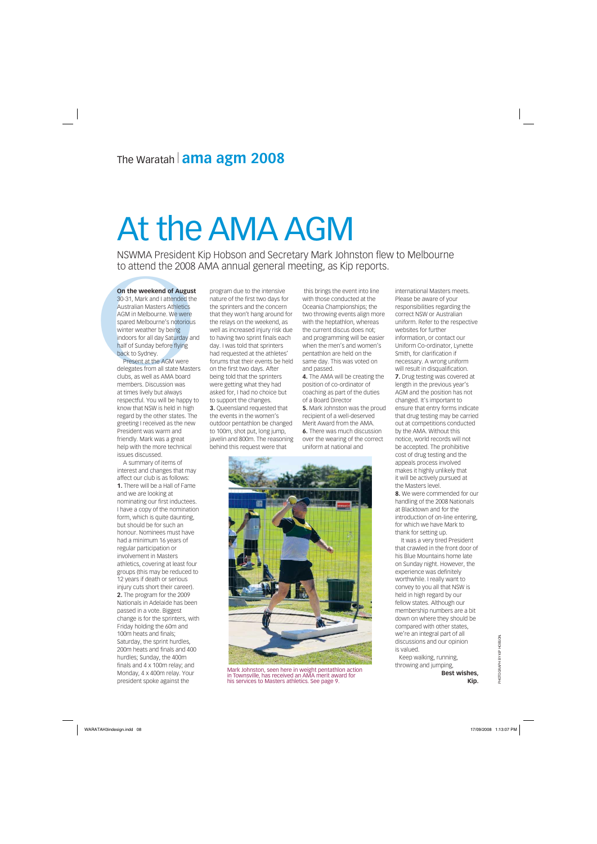**On the weekend of August**<br>30-31, Mark and I attended the<br>Australian Masters Athletics<br>AGM in Melbourne. We were<br>spared Melbourne's notorious<br>winter weather by being<br>indoors for all day Saturday and<br>half of Sunday before f **On the weekend of August** 30-31, Mark and I attended the Australian Masters Athletics AGM in Melbourne. We were spared Melbourne's notorious winter weather by being indoors for all day Saturday and half of Sunday before flying back to Sydney.

Present at the AGM were delegates from all state Masters clubs, as well as AMA board members. Discussion was at times lively but always respectful. You will be happy to know that NSW is held in high regard by the other states. The greeting I received as the new President was warm and friendly. Mark was a great help with the more technical issues discussed.

A summary of items of interest and changes that may affect our club is as follows: **1.** There will be a Hall of Fame and we are looking at nominating our first inductees. I have a copy of the nomination form, which is quite daunting, but should be for such an honour. Nominees must have had a minimum 16 years of regular participation or involvement in Masters athletics, covering at least four groups (this may be reduced to 12 years if death or serious injury cuts short their career). **2.** The program for the 2009 Nationals in Adelaide has been passed in a vote. Biggest change is for the sprinters, with Friday holding the 60m and 100m heats and finals; Saturday, the sprint hurdles, 200m heats and finals and 400 hurdles; Sunday, the 400m finals and 4 x 100m relay; and Monday, 4 x 400m relay. Your president spoke against the

program due to the intensive nature of the first two days for the sprinters and the concern that they won't hang around for the relays on the weekend, as well as increased injury risk due to having two sprint finals each day. I was told that sprinters had requested at the athletes' forums that their events be held on the first two days. After being told that the sprinters were getting what they had asked for, I had no choice but to support the changes. **3.** Queensland requested that the events in the women's outdoor pentathlon be changed to 100m, shot put, long jump, javelin and 800m. The reasoning behind this request were that

 this brings the event into line with those conducted at the Oceania Championships; the two throwing events align more with the heptathlon, whereas the current discus does not; and programming will be easier when the men's and women's pentathlon are held on the same day. This was voted on and passed.

**4.** The AMA will be creating the position of co-ordinator of coaching as part of the duties of a Board Director

**5.** Mark Johnston was the proud recipient of a well-deserved Merit Award from the AMA. **6.** There was much discussion over the wearing of the correct uniform at national and



international Masters meets. Please be aware of your responsibilities regarding the correct NSW or Australian uniform. Refer to the respective websites for further information, or contact our Uniform Co-ordinator, Lynette Smith, for clarification if necessary. A wrong uniform will result in disqualification. **7.** Drug testing was covered at length in the previous year's AGM and the position has not changed. It's important to ensure that entry forms indicate that drug testing may be carried out at competitions conducted by the AMA. Without this notice, world records will not be accepted. The prohibitive cost of drug testing and the appeals process involved makes it highly unlikely that it will be actively pursued at the Masters level. **8.** We were commended for our handling of the 2008 Nationals at Blacktown and for the introduction of on-line entering, for which we have Mark to thank for setting up. It was a very tired President that crawled in the front door of his Blue Mountains home late on Sunday night. However, the experience was definitely worthwhile. I really want to convey to you all that NSW is held in high regard by our fellow states. Although our membership numbers are a bit down on where they should be



compared with other states, we're an integral part of all

discussions and our opinion is valued. Keep walking, running, throwing and jumping, **Best wishes,**

**Kip.**

 $\textsf{WARATA} + \textsf{N3} \textsf{N4} \textsf{N4} \textsf{N5} \textsf{N6} \textsf{N6} \textsf{N7} \textsf{N7} \textsf{N8} \textsf{N8} \textsf{N8} \textsf{N9} \textsf{N9} \textsf{N1} \textsf{N1} \textsf{N1} \textsf{N1} \textsf{N1} \textsf{N1} \textsf{N1} \textsf{N1} \textsf{N1} \textsf{N1} \textsf{N1} \textsf{N1} \textsf{N1} \textsf{N1} \textsf{N1} \textsf{N1} \textsf{N1} \$ 

# At the AMA AGM

NSWMA President Kip Hobson and Secretary Mark Johnston flew to Melbourne to attend the 2008 AMA annual general meeting, as Kip reports.

## The Waratah<sup>|</sup> **ama agm 2008**

Mark Johnston, seen here in weight pentathlon action in Townsville, has received an AMA merit award for his services to Masters athletics. See page 9.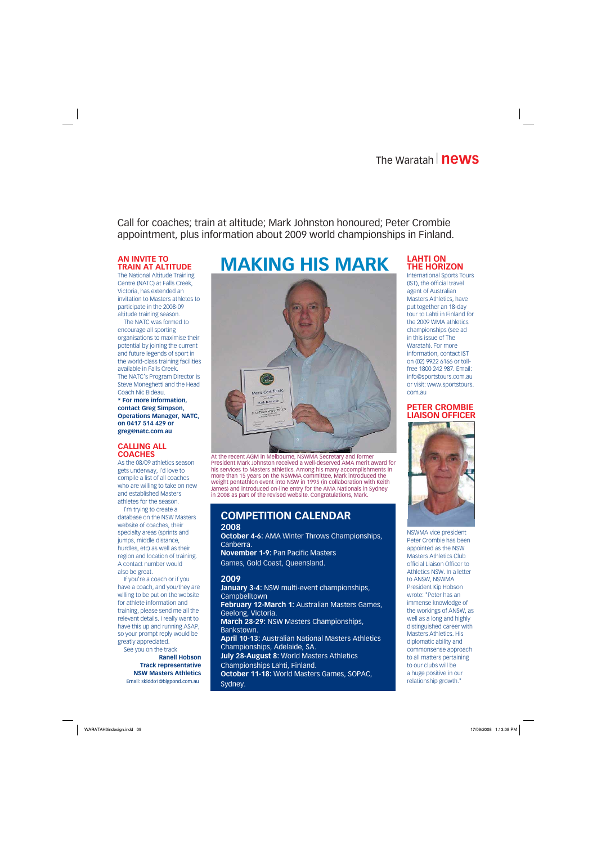## The Waratah<sup>|</sup>**news**

Call for coaches; train at altitude; Mark Johnston honoured; Peter Crombie appointment, plus information about 2009 world championships in Finland.

### **COMPETITION CALENDAR**

**2008 October 4-6:** AMA Winter Throws Championships, Canberra.

**November 1-9:** Pan Pacific Masters Games, Gold Coast, Queensland.

#### **2009**

**January 3-4:** NSW multi-event championships, **Campbelltown February 12-March 1:** Australian Masters Games, Geelong, Victoria. **March 28-29:** NSW Masters Championships,

Bankstown.

**April 10-13:** Australian National Masters Athletics Championships, Adelaide, SA. **July 28-August 8:** World Masters Athletics Championships Lahti, Finland. **October 11-18:** World Masters Games, SOPAC, Sydney.

#### **AN INVITE TO TRAIN AT ALTITUDE**

The National Altitude Training Centre (NATC) at Falls Creek, Victoria, has extended an invitation to Masters athletes to participate in the 2008-09 altitude training season.

The NATC was formed to encourage all sporting organisations to maximise their potential by joining the current and future legends of sport in the world-class training facilities available in Falls Creek. The NATC's Program Director is Steve Moneghetti and the Head Coach Nic Bideau. **\* For more information, contact Greg Simpson, Operations Manager, NATC, on 0417 514 429 or greg@natc.com.au**

#### **CALLING ALL COACHES**

As the 08/09 athletics season gets underway, I'd love to compile a list of all coaches who are willing to take on new and established Masters athletes for the season.



At the recent AGM in Melbourne, NSWMA Secretary and former President Mark Johnston received a well-deserved AMA merit award for his services to Masters athletics. Among his many accomplishments in more than 15 years on the NSWMA committee, Mark introduced the weight pentathlon event into NSW in 1995 (in collaboration with Keith James) and introduced on-line entry for the AMA Nationals in Sydney in 2008 as part of the revised website. Congratulations, Mark.

I'm trying to create a database on the NSW Masters website of coaches, their specialty areas (sprints and jumps, middle distance, hurdles, etc) as well as their region and location of training. A contact number would also be great.

If you're a coach or if you have a coach, and you/they are willing to be put on the website for athlete information and training, please send me all the relevant details. I really want to have this up and running ASAP, so your prompt reply would be

greatly appreciated. See you on the track **Ranell Hobson Track representative NSW Masters Athletics** Email: skiddo1@bigpond.com.au

#### **LAHTI ON THE HORIZON**

International Sports Tours (IST), the official travel agent of Australian Masters Athletics, have put together an 18-day tour to Lahti in Finland for the 2009 WMA athletics championships (see ad in this issue of The Waratah). For more information, contact IST on (02) 9922 6166 or tollfree 1800 242 987. Email: info@sportstours.com.au or visit: www.sportstours. com.au

#### **PETER CROMBIE LIAISON OFFICER**



NSWMA vice president Peter Crombie has been appointed as the NSW Masters Athletics Club official Liaison Officer to Athletics NSW. In a letter to ANSW, NSWMA President Kip Hobson wrote: "Peter has an immense knowledge of the workings of ANSW, as well as a long and highly distinguished career with Masters Athletics. His

diplomatic ability and commonsense approach to all matters pertaining to our clubs will be a huge positive in our relationship growth."

WARATAH3indesign.indd 09 1:13:08 PM 7/09/2008 1:13:08 PM 7/09/2008 1:13:08 PM 7/09

## **MAKING HIS MARK**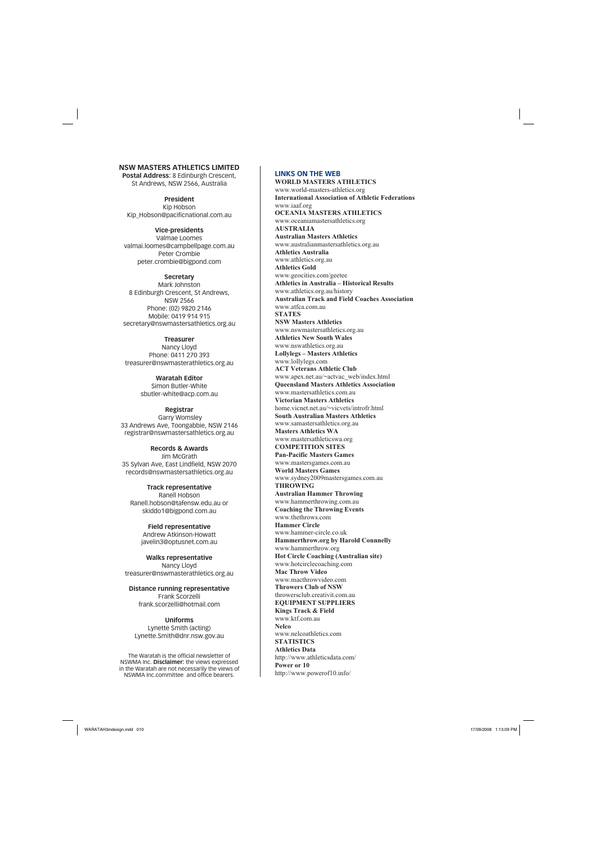#### **LINKS ON THE WEB**

**WORLD MASTERS ATHLETICS** www.world-masters-athletics.org **International Association of Athletic Federations** www.iaaf.org **OCEANIA MASTERS ATHLETICS** www.oceaniamastersathletics.org **AUSTRALIA Australian Masters Athletics** www.australianmastersathletics.org.au **Athletics Australia** www.athletics.org.au **Athletics Gold** www.geocities.com/geetee **Athletics in Australia – Historical Results** www.athletics.org.au/history **Australian Track and Field Coaches Association** www.atfca.com.au **STATES NSW Masters Athletics** www.nswmastersathletics.org.au **Athletics New South Wales** www.nswathletics.org.au **Lollylegs – Masters Athletics** www.lollylegs.com **ACT Veterans Athletic Club** www.apex.net.au/~actvac\_web/index.html **Queensland Masters Athletics Association** www.mastersathletics.com.au **Victorian Masters Athletics** home.vicnet.net.au/~vicvets/introfr.html **South Australian Masters Athletics** www.samastersathletics.org.au **Masters Athletics WA** www.mastersathleticswa.org **COMPETITION SITES Pan-Pacific Masters Games** www.mastersgames.com.au **World Masters Games** www.sydney2009mastersgames.com.au **THROWING Australian Hammer Throwing** www.hammerthrowing.com.au **Coaching the Throwing Events** www.thethrows.com **Hammer Circle** www.hammer-circle.co.uk **Hammerthrow.org by Harold Connnelly** www.hammerthrow.org **Hot Circle Coaching (Australian site)** www.hotcirclecoaching.com **Mac Throw Video** www.macthrowvideo.com **Throwers Club of NSW** throwersclub.creativit.com.au **EQUIPMENT SUPPLIERS Kings Track & Field** www.ktf.com.au **Nelco** www.nelcoathletics.com **STATISTICS Athletics Data** http://www.athleticsdata.com/ **Power or 10** http://www.powerof10.info/

### **NSW MASTERS ATHLETICS LIMITED**

**Postal Address:** 8 Edinburgh Crescent, St Andrews, NSW 2566, Australia

**President** Kip Hobson Kip\_Hobson@pacificnational.com.au

**Vice-presidents** Valmae Loomes valmai.loomes@campbellpage.com.au Peter Crombie peter.crombie@bigpond.com

**Secretary** Mark Johnston 8 Edinburgh Crescent, St Andrews, NSW 2566 Phone: (02) 9820 2146 Mobile: 0419 914 915 secretary@nswmastersathletics.org.au

**Treasurer** Nancy Lloyd Phone: 0411 270 393 treasurer@nswmasterathletics.org.au

> **Waratah Editor** Simon Butler-White sbutler-white@acp.com.au

**Registrar** Garry Womsley 33 Andrews Ave, Toongabbie, NSW 2146 registrar@nswmastersathletics.org.au

**Records & Awards** Jim McGrath 35 Sylvan Ave, East Lindfield, NSW 2070 records@nswmastersathletics.org.au

**Track representative** Ranell Hobson Ranell.hobson@tafensw.edu.au or skiddo1@bigpond.com.au

> **Field representative** Andrew Atkinson-Howatt javelin3@optusnet.com.au

**Walks representative** Nancy Lloyd treasurer@nswmasterathletics.org.au

**Distance running representative** Frank Scorzelli frank.scorzelli@hotmail.com

**Uniforms** Lynette Smith (acting) Lynette.Smith@dnr.nsw.gov.au

The Waratah is the official newsletter of NSWMA Inc. **Disclaimer:** the views expressed in the Waratah are not necessarily the views of NSWMA Inc.committee and office bearers.

WARATAH3indesign.indd 010

17/09/2008 1:13:09 PM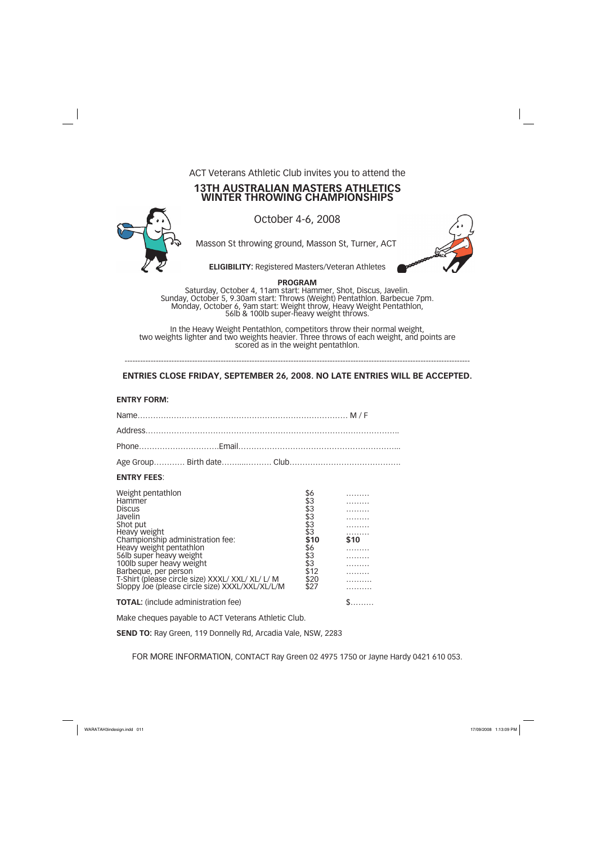ACT Veterans Athletic Club invites you to attend the

### **13TH AUSTRALIAN MASTERS ATHLETICS WINTER THROWING CHAMPIONSHIPS**



October 4-6, 2008

Masson St throwing ground, Masson St, Turner, ACT.

**ELIGIBILITY:** Registered Masters/Veteran Athletes

**PROGRAM**

Saturday, October 4, 11am start: Hammer, Shot, Discus, Javelin. Sunday, October 5, 9.30am start: Throws (Weight) Pentathlon. Barbecue 7pm. Monday, October 6, 9am start: Weight throw, Heavy Weight Pentathlon, 56lb & 100lb super-heavy weight throws.

| <b>ENTRY FEES:</b>                                                                                                                                                                                                                                                                                                                       |  |                                                                                               |      |  |
|------------------------------------------------------------------------------------------------------------------------------------------------------------------------------------------------------------------------------------------------------------------------------------------------------------------------------------------|--|-----------------------------------------------------------------------------------------------|------|--|
| Weight pentathlon<br>Hammer<br><b>Discus</b><br>Javelin<br>Shot put<br>Heavy weight<br>Championship administration fee:<br>Heavy weight pentathlon<br>56lb super heavy weight<br>100lb super heavy weight<br>Barbeque, per person<br>T-Shirt (please circle size) XXXL/ XXL/ XL/ L/ M<br>Sloppy Joe (please circle size) XXXL/XXL/XL/L/M |  | \$6<br>\$3<br>\$3<br>$$3$<br>$$3$<br>\$3<br>\$10<br>\$6<br>\$3<br>\$3<br>\$12<br>\$20<br>\$27 | \$10 |  |

**TOTAL:** (include administration fee) \$………

In the Heavy Weight Pentathlon, competitors throw their normal weight, two weights lighter and two weights heavier. Three throws of each weight, and points are scored as in the weight pentathlon.

------------------------------------------------------------------------------------------------------------------------------------- **ENTRIES CLOSE FRIDAY, SEPTEMBER 26, 2008. NO LATE ENTRIES WILL BE ACCEPTED.**

**ENTRY FORM:**

Make cheques payable to ACT Veterans Athletic Club.

**SEND TO:** Ray Green, 119 Donnelly Rd, Arcadia Vale, NSW, 2283

FOR MORE INFORMATION, CONTACT Ray Green 02 4975 1750 or Jayne Hardy 0421 610 053.

WARATAH3indesign.indd 011 **ARATAH3indesign.indd** 011 ARATAH3indesign.indd 011 **ARATAH3indesign.indd 011**